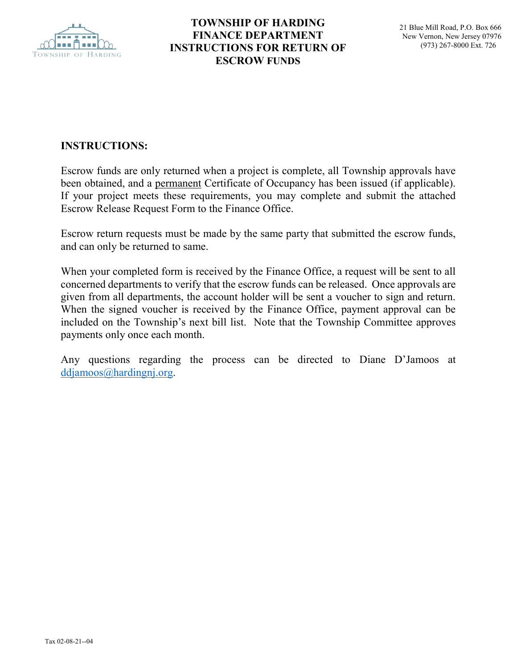

## **TOWNSHIP OF HARDING FINANCE DEPARTMENT INSTRUCTIONS FOR RETURN OF ESCROW FUNDS**

## **INSTRUCTIONS:**

Escrow funds are only returned when a project is complete, all Township approvals have been obtained, and a permanent Certificate of Occupancy has been issued (if applicable). If your project meets these requirements, you may complete and submit the attached Escrow Release Request Form to the Finance Office.

Escrow return requests must be made by the same party that submitted the escrow funds, and can only be returned to same.

When your completed form is received by the Finance Office, a request will be sent to all concerned departments to verify that the escrow funds can be released. Once approvals are given from all departments, the account holder will be sent a voucher to sign and return. When the signed voucher is received by the Finance Office, payment approval can be included on the Township's next bill list. Note that the Township Committee approves payments only once each month.

Any questions regarding the process can be directed to Diane D'Jamoos at [ddjamoos@hardingnj.org.](mailto:ddjamoos@hardingnj.org)